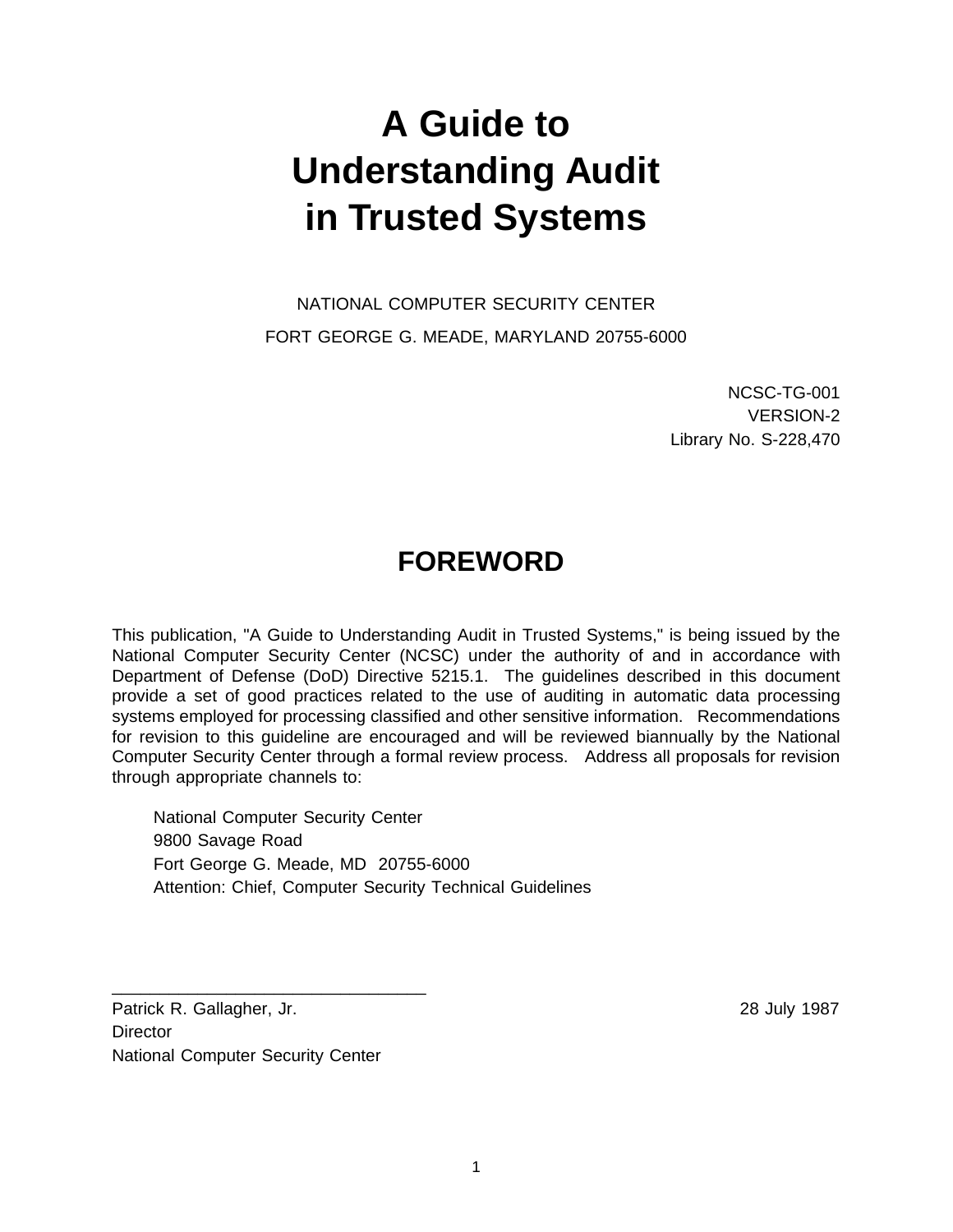# **A Guide to Understanding Audit in Trusted Systems**

NATIONAL COMPUTER SECURITY CENTER FORT GEORGE G. MEADE, MARYLAND 20755-6000

> NCSC-TG-001 VERSION-2 Library No. S-228,470

## **FOREWORD**

This publication, "A Guide to Understanding Audit in Trusted Systems," is being issued by the National Computer Security Center (NCSC) under the authority of and in accordance with Department of Defense (DoD) Directive 5215.1. The guidelines described in this document provide a set of good practices related to the use of auditing in automatic data processing systems employed for processing classified and other sensitive information. Recommendations for revision to this guideline are encouraged and will be reviewed biannually by the National Computer Security Center through a formal review process. Address all proposals for revision through appropriate channels to:

 National Computer Security Center 9800 Savage Road Fort George G. Meade, MD 20755-6000 Attention: Chief, Computer Security Technical Guidelines

Patrick R. Gallagher, Jr. 28 July 1987 **Director** National Computer Security Center

\_\_\_\_\_\_\_\_\_\_\_\_\_\_\_\_\_\_\_\_\_\_\_\_\_\_\_\_\_\_\_\_\_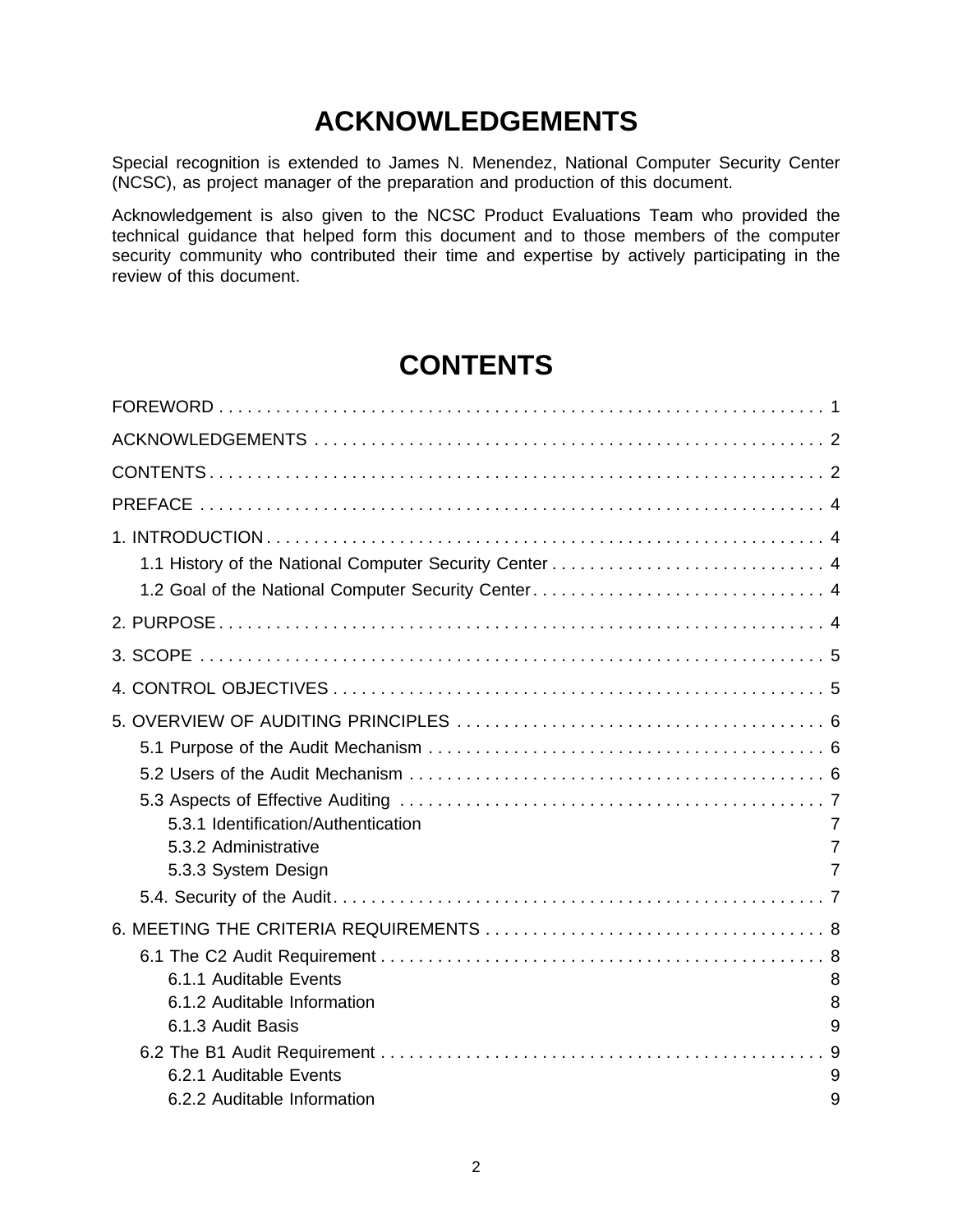## **ACKNOWLEDGEMENTS**

Special recognition is extended to James N. Menendez, National Computer Security Center (NCSC), as project manager of the preparation and production of this document.

Acknowledgement is also given to the NCSC Product Evaluations Team who provided the technical guidance that helped form this document and to those members of the computer security community who contributed their time and expertise by actively participating in the review of this document.

## **CONTENTS**

| 5.3.1 Identification/Authentication<br>5.3.2 Administrative<br>5.3.3 System Design                   | 7<br>7<br>$\overline{7}$ |
|------------------------------------------------------------------------------------------------------|--------------------------|
| 6.1.1 Auditable Events<br>6.1.2 Auditable Information<br>6.1.3 Audit Basis<br>6.2.1 Auditable Events | 8<br>8<br>9<br>9         |
| 6.2.2 Auditable Information                                                                          | 9                        |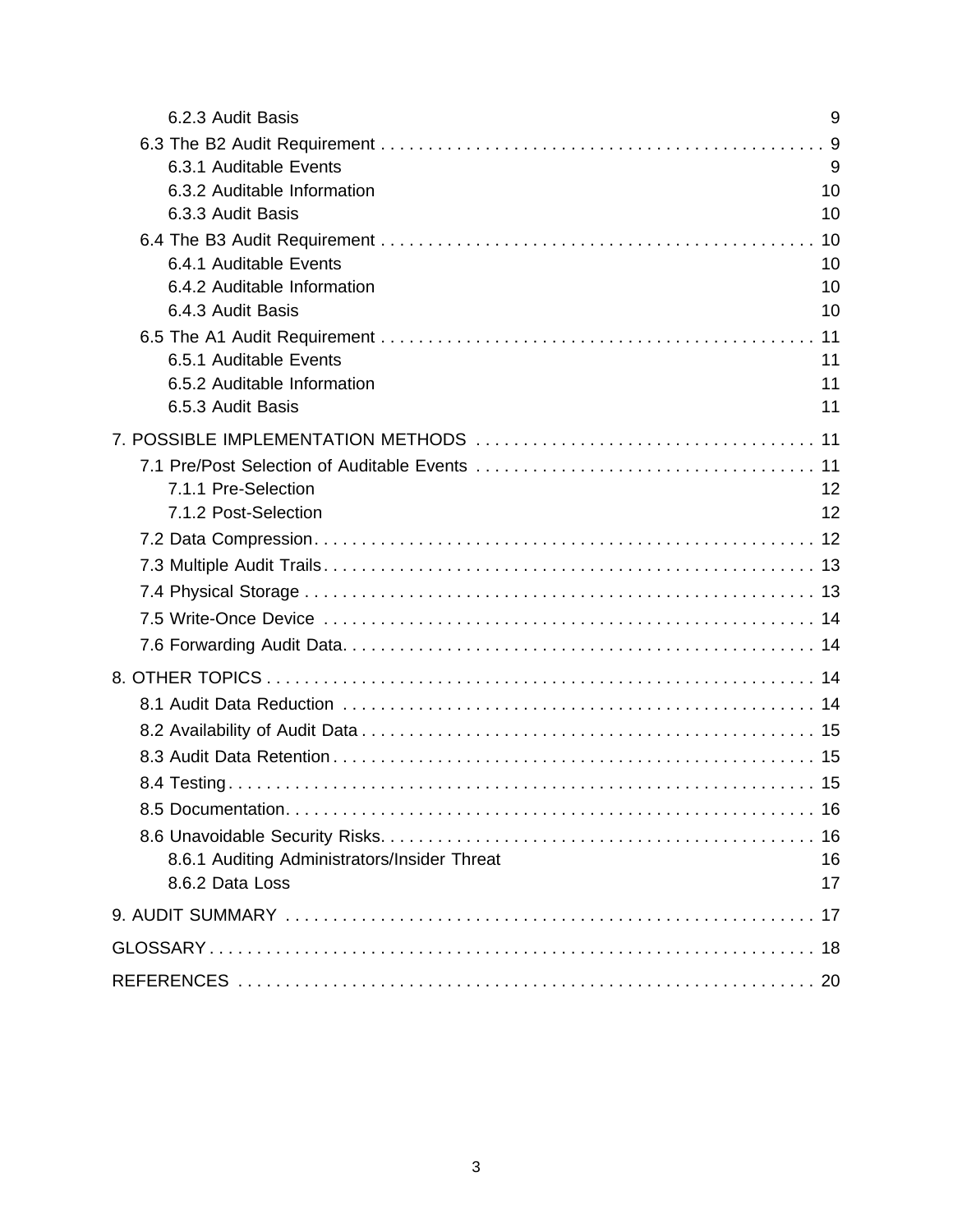| 6.2.3 Audit Basis                                                          | 9                    |
|----------------------------------------------------------------------------|----------------------|
| 6.3.1 Auditable Events<br>6.3.2 Auditable Information<br>6.3.3 Audit Basis | 9<br>9<br>10<br>10   |
| 6.4.1 Auditable Events<br>6.4.2 Auditable Information<br>6.4.3 Audit Basis | 10<br>10<br>10<br>10 |
| 6.5.1 Auditable Events<br>6.5.2 Auditable Information<br>6.5.3 Audit Basis | 11<br>11<br>11       |
| 7.1.1 Pre-Selection<br>7.1.2 Post-Selection                                | 12<br>12             |
|                                                                            |                      |
| 8.6.1 Auditing Administrators/Insider Threat<br>8.6.2 Data Loss            | 16<br>17             |
|                                                                            |                      |
|                                                                            |                      |
|                                                                            |                      |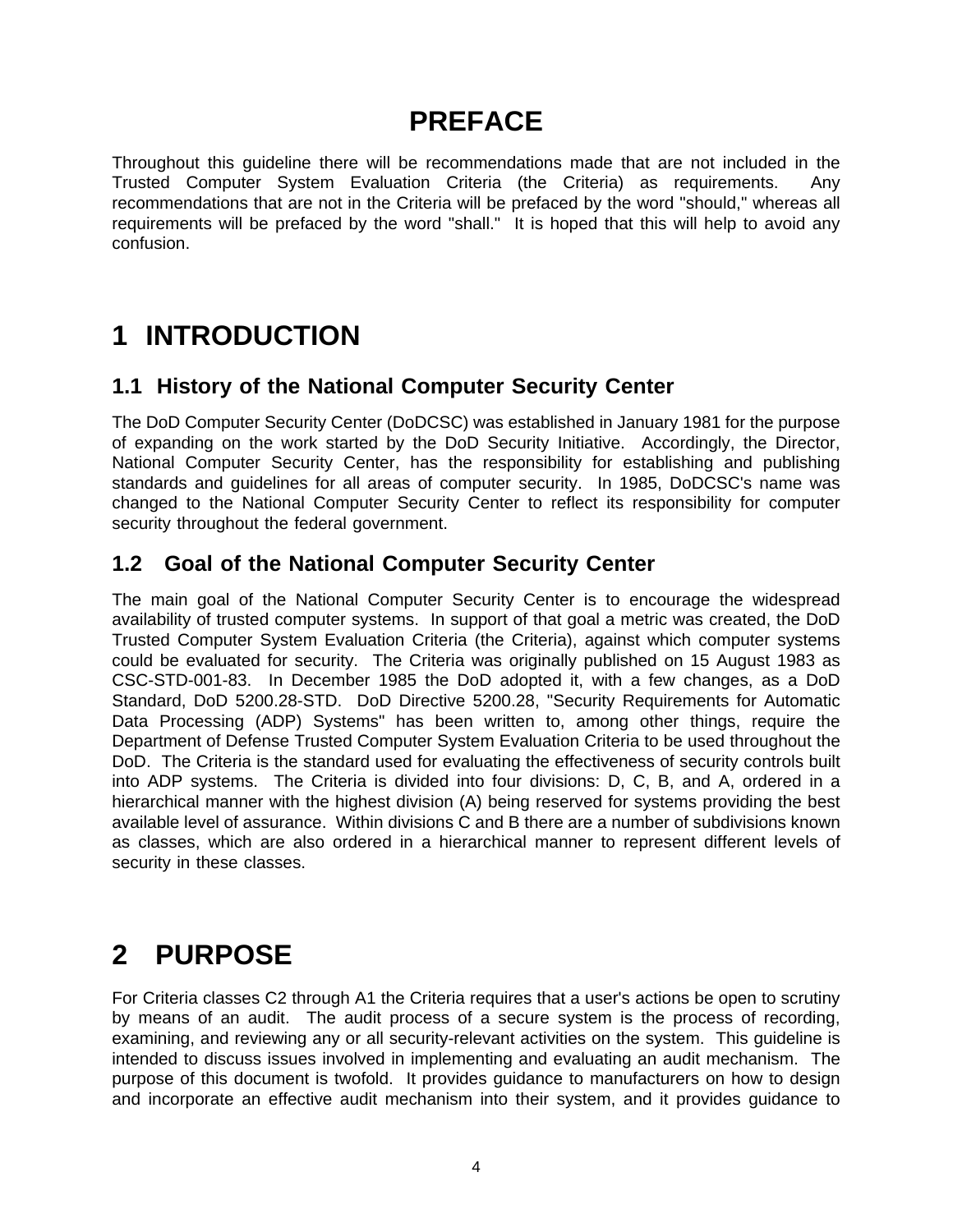## **PREFACE**

Throughout this guideline there will be recommendations made that are not included in the Trusted Computer System Evaluation Criteria (the Criteria) as requirements. Any recommendations that are not in the Criteria will be prefaced by the word "should," whereas all requirements will be prefaced by the word "shall." It is hoped that this will help to avoid any confusion.

## **1 INTRODUCTION**

### **1.1 History of the National Computer Security Center**

The DoD Computer Security Center (DoDCSC) was established in January 1981 for the purpose of expanding on the work started by the DoD Security Initiative. Accordingly, the Director, National Computer Security Center, has the responsibility for establishing and publishing standards and guidelines for all areas of computer security. In 1985, DoDCSC's name was changed to the National Computer Security Center to reflect its responsibility for computer security throughout the federal government.

### **1.2 Goal of the National Computer Security Center**

The main goal of the National Computer Security Center is to encourage the widespread availability of trusted computer systems. In support of that goal a metric was created, the DoD Trusted Computer System Evaluation Criteria (the Criteria), against which computer systems could be evaluated for security. The Criteria was originally published on 15 August 1983 as CSC-STD-001-83. In December 1985 the DoD adopted it, with a few changes, as a DoD Standard, DoD 5200.28-STD. DoD Directive 5200.28, "Security Requirements for Automatic Data Processing (ADP) Systems" has been written to, among other things, require the Department of Defense Trusted Computer System Evaluation Criteria to be used throughout the DoD. The Criteria is the standard used for evaluating the effectiveness of security controls built into ADP systems. The Criteria is divided into four divisions: D, C, B, and A, ordered in a hierarchical manner with the highest division (A) being reserved for systems providing the best available level of assurance. Within divisions C and B there are a number of subdivisions known as classes, which are also ordered in a hierarchical manner to represent different levels of security in these classes.

## **2 PURPOSE**

For Criteria classes C2 through A1 the Criteria requires that a user's actions be open to scrutiny by means of an audit. The audit process of a secure system is the process of recording, examining, and reviewing any or all security-relevant activities on the system. This guideline is intended to discuss issues involved in implementing and evaluating an audit mechanism. The purpose of this document is twofold. It provides guidance to manufacturers on how to design and incorporate an effective audit mechanism into their system, and it provides guidance to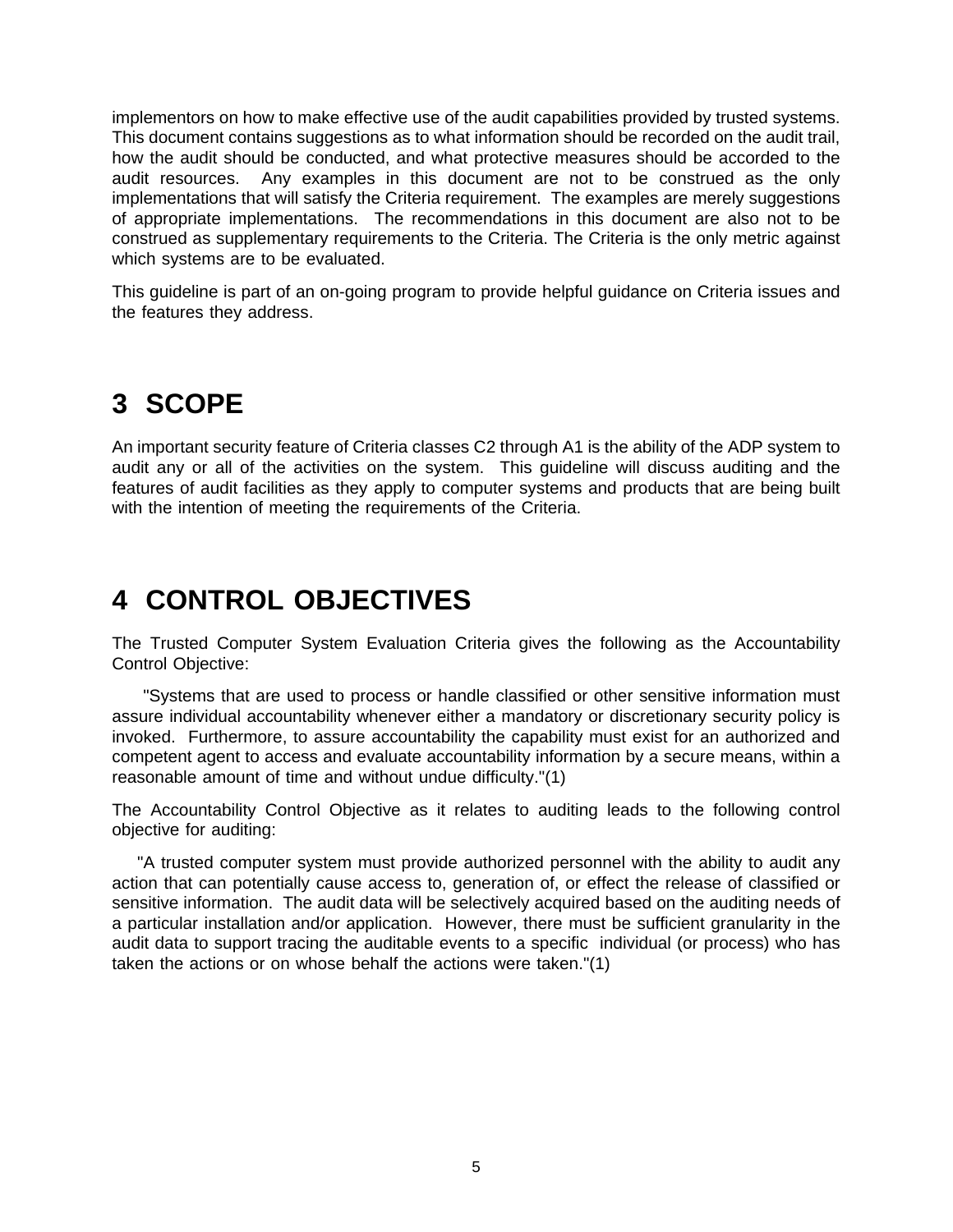implementors on how to make effective use of the audit capabilities provided by trusted systems. This document contains suggestions as to what information should be recorded on the audit trail, how the audit should be conducted, and what protective measures should be accorded to the audit resources. Any examples in this document are not to be construed as the only implementations that will satisfy the Criteria requirement. The examples are merely suggestions of appropriate implementations. The recommendations in this document are also not to be construed as supplementary requirements to the Criteria. The Criteria is the only metric against which systems are to be evaluated.

This guideline is part of an on-going program to provide helpful guidance on Criteria issues and the features they address.

## **3 SCOPE**

An important security feature of Criteria classes C2 through A1 is the ability of the ADP system to audit any or all of the activities on the system. This guideline will discuss auditing and the features of audit facilities as they apply to computer systems and products that are being built with the intention of meeting the requirements of the Criteria.

## **4 CONTROL OBJECTIVES**

The Trusted Computer System Evaluation Criteria gives the following as the Accountability Control Objective:

 "Systems that are used to process or handle classified or other sensitive information must assure individual accountability whenever either a mandatory or discretionary security policy is invoked. Furthermore, to assure accountability the capability must exist for an authorized and competent agent to access and evaluate accountability information by a secure means, within a reasonable amount of time and without undue difficulty."(1)

The Accountability Control Objective as it relates to auditing leads to the following control objective for auditing:

 "A trusted computer system must provide authorized personnel with the ability to audit any action that can potentially cause access to, generation of, or effect the release of classified or sensitive information. The audit data will be selectively acquired based on the auditing needs of a particular installation and/or application. However, there must be sufficient granularity in the audit data to support tracing the auditable events to a specific individual (or process) who has taken the actions or on whose behalf the actions were taken."(1)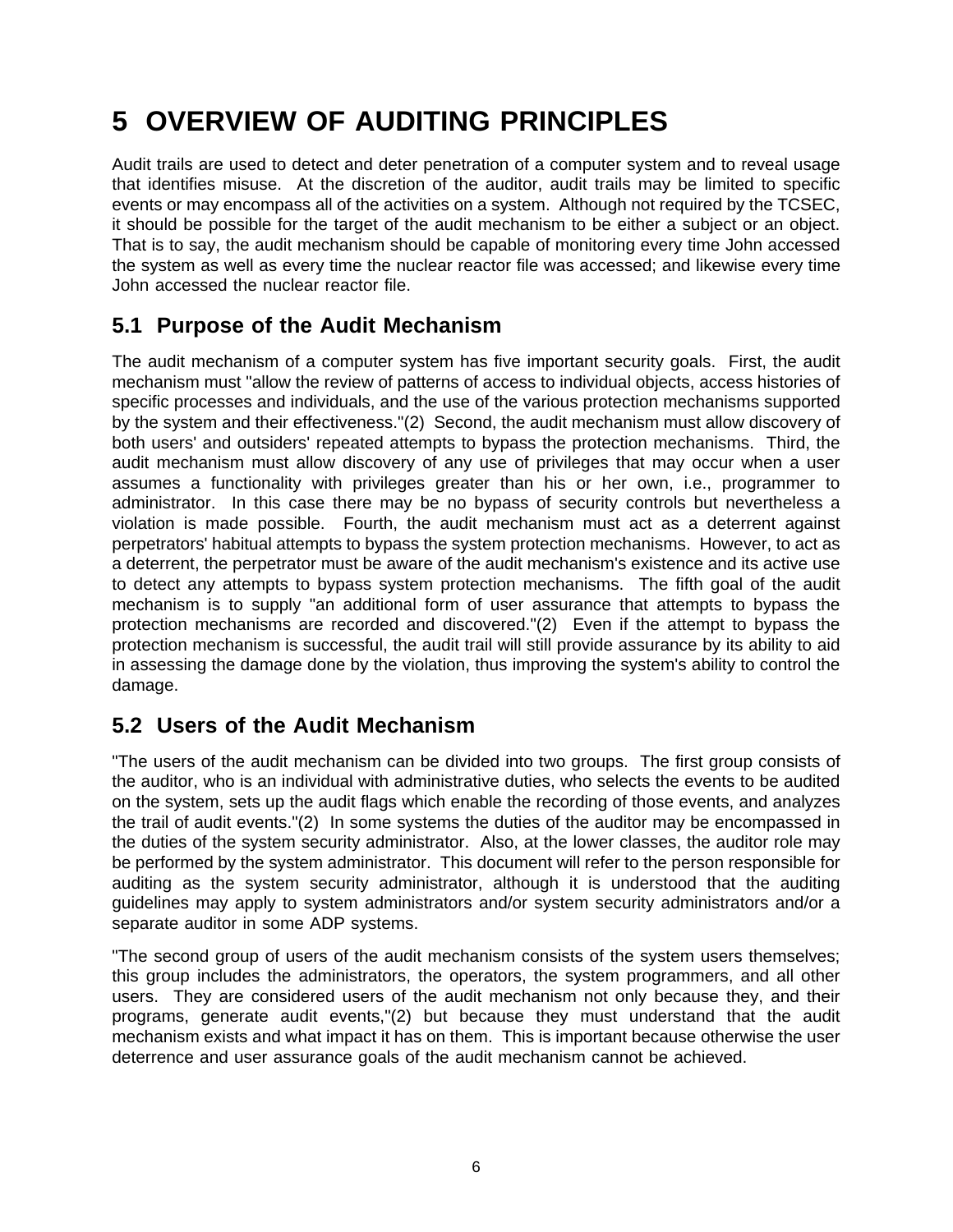## **5 OVERVIEW OF AUDITING PRINCIPLES**

Audit trails are used to detect and deter penetration of a computer system and to reveal usage that identifies misuse. At the discretion of the auditor, audit trails may be limited to specific events or may encompass all of the activities on a system. Although not required by the TCSEC, it should be possible for the target of the audit mechanism to be either a subject or an object. That is to say, the audit mechanism should be capable of monitoring every time John accessed the system as well as every time the nuclear reactor file was accessed; and likewise every time John accessed the nuclear reactor file.

## **5.1 Purpose of the Audit Mechanism**

The audit mechanism of a computer system has five important security goals. First, the audit mechanism must "allow the review of patterns of access to individual objects, access histories of specific processes and individuals, and the use of the various protection mechanisms supported by the system and their effectiveness."(2) Second, the audit mechanism must allow discovery of both users' and outsiders' repeated attempts to bypass the protection mechanisms. Third, the audit mechanism must allow discovery of any use of privileges that may occur when a user assumes a functionality with privileges greater than his or her own, i.e., programmer to administrator. In this case there may be no bypass of security controls but nevertheless a violation is made possible. Fourth, the audit mechanism must act as a deterrent against perpetrators' habitual attempts to bypass the system protection mechanisms. However, to act as a deterrent, the perpetrator must be aware of the audit mechanism's existence and its active use to detect any attempts to bypass system protection mechanisms. The fifth goal of the audit mechanism is to supply "an additional form of user assurance that attempts to bypass the protection mechanisms are recorded and discovered."(2) Even if the attempt to bypass the protection mechanism is successful, the audit trail will still provide assurance by its ability to aid in assessing the damage done by the violation, thus improving the system's ability to control the damage.

## **5.2 Users of the Audit Mechanism**

"The users of the audit mechanism can be divided into two groups. The first group consists of the auditor, who is an individual with administrative duties, who selects the events to be audited on the system, sets up the audit flags which enable the recording of those events, and analyzes the trail of audit events."(2) In some systems the duties of the auditor may be encompassed in the duties of the system security administrator. Also, at the lower classes, the auditor role may be performed by the system administrator. This document will refer to the person responsible for auditing as the system security administrator, although it is understood that the auditing guidelines may apply to system administrators and/or system security administrators and/or a separate auditor in some ADP systems.

"The second group of users of the audit mechanism consists of the system users themselves; this group includes the administrators, the operators, the system programmers, and all other users. They are considered users of the audit mechanism not only because they, and their programs, generate audit events,"(2) but because they must understand that the audit mechanism exists and what impact it has on them. This is important because otherwise the user deterrence and user assurance goals of the audit mechanism cannot be achieved.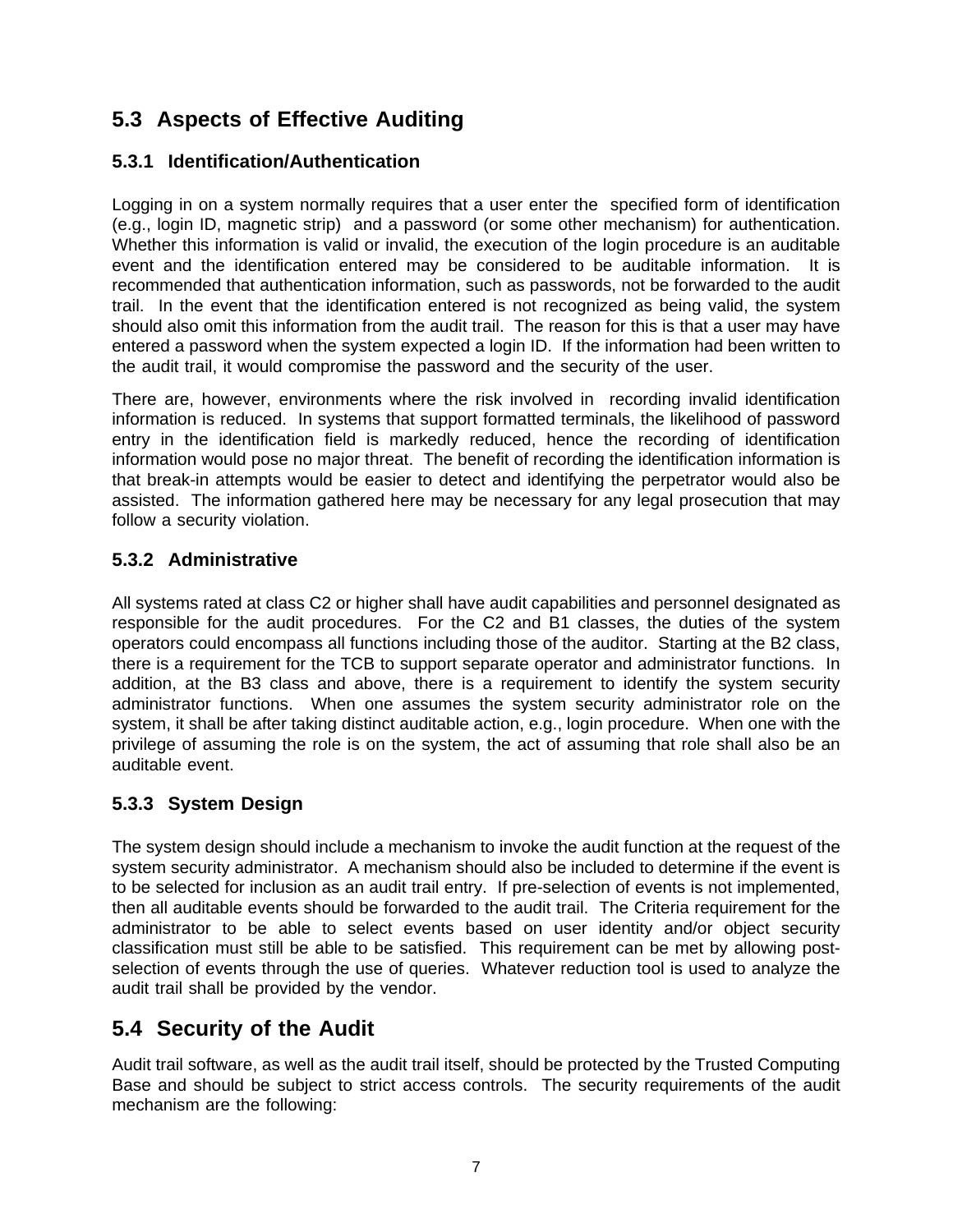## **5.3 Aspects of Effective Auditing**

#### **5.3.1 Identification/Authentication**

Logging in on a system normally requires that a user enter the specified form of identification (e.g., login ID, magnetic strip) and a password (or some other mechanism) for authentication. Whether this information is valid or invalid, the execution of the login procedure is an auditable event and the identification entered may be considered to be auditable information. It is recommended that authentication information, such as passwords, not be forwarded to the audit trail. In the event that the identification entered is not recognized as being valid, the system should also omit this information from the audit trail. The reason for this is that a user may have entered a password when the system expected a login ID. If the information had been written to the audit trail, it would compromise the password and the security of the user.

There are, however, environments where the risk involved in recording invalid identification information is reduced. In systems that support formatted terminals, the likelihood of password entry in the identification field is markedly reduced, hence the recording of identification information would pose no major threat. The benefit of recording the identification information is that break-in attempts would be easier to detect and identifying the perpetrator would also be assisted. The information gathered here may be necessary for any legal prosecution that may follow a security violation.

#### **5.3.2 Administrative**

All systems rated at class C2 or higher shall have audit capabilities and personnel designated as responsible for the audit procedures. For the C2 and B1 classes, the duties of the system operators could encompass all functions including those of the auditor. Starting at the B2 class, there is a requirement for the TCB to support separate operator and administrator functions. In addition, at the B3 class and above, there is a requirement to identify the system security administrator functions. When one assumes the system security administrator role on the system, it shall be after taking distinct auditable action, e.g., login procedure. When one with the privilege of assuming the role is on the system, the act of assuming that role shall also be an auditable event.

#### **5.3.3 System Design**

The system design should include a mechanism to invoke the audit function at the request of the system security administrator. A mechanism should also be included to determine if the event is to be selected for inclusion as an audit trail entry. If pre-selection of events is not implemented, then all auditable events should be forwarded to the audit trail. The Criteria requirement for the administrator to be able to select events based on user identity and/or object security classification must still be able to be satisfied. This requirement can be met by allowing postselection of events through the use of queries. Whatever reduction tool is used to analyze the audit trail shall be provided by the vendor.

### **5.4 Security of the Audit**

Audit trail software, as well as the audit trail itself, should be protected by the Trusted Computing Base and should be subject to strict access controls. The security requirements of the audit mechanism are the following: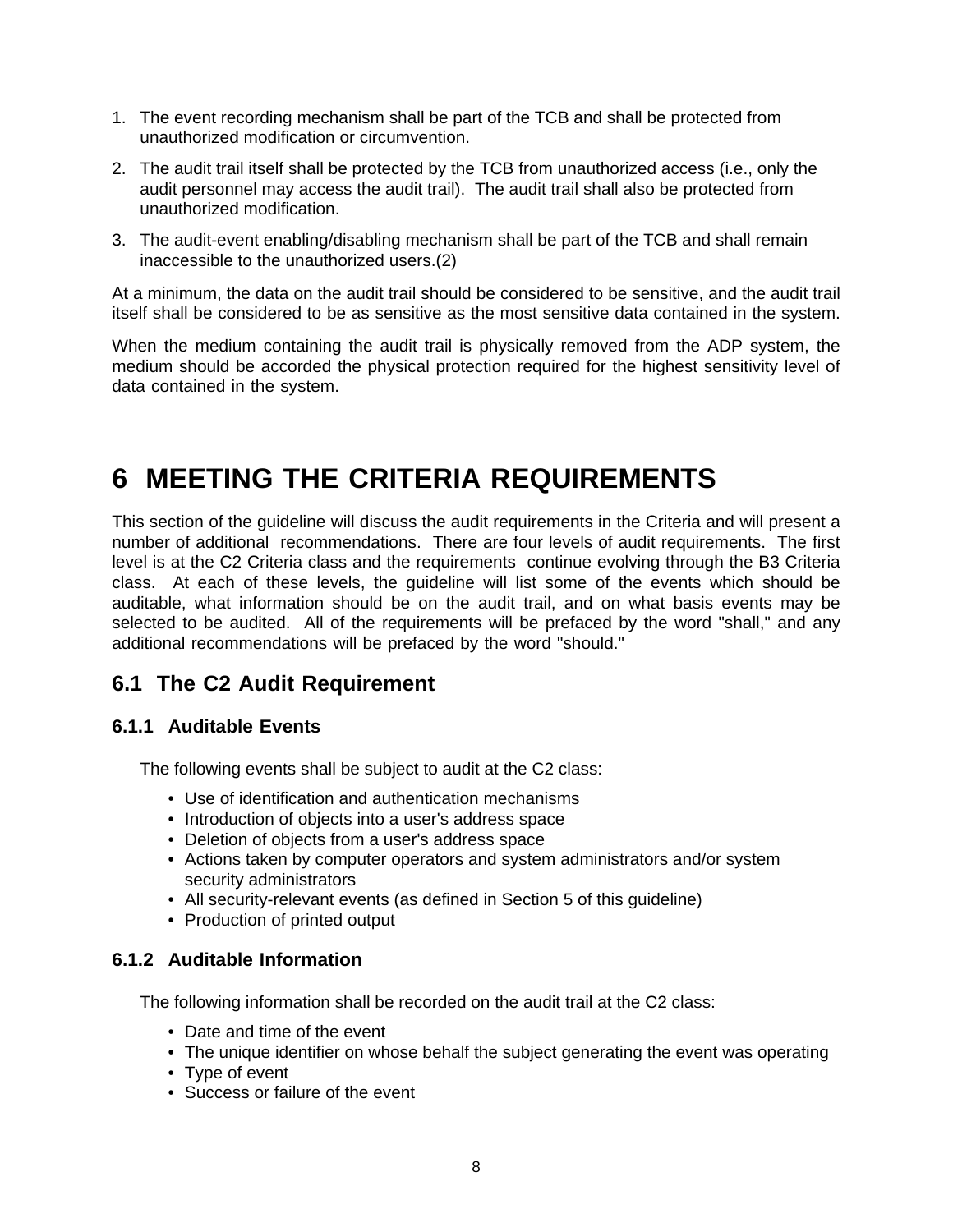- 1. The event recording mechanism shall be part of the TCB and shall be protected from unauthorized modification or circumvention.
- 2. The audit trail itself shall be protected by the TCB from unauthorized access (i.e., only the audit personnel may access the audit trail). The audit trail shall also be protected from unauthorized modification.
- 3. The audit-event enabling/disabling mechanism shall be part of the TCB and shall remain inaccessible to the unauthorized users.(2)

At a minimum, the data on the audit trail should be considered to be sensitive, and the audit trail itself shall be considered to be as sensitive as the most sensitive data contained in the system.

When the medium containing the audit trail is physically removed from the ADP system, the medium should be accorded the physical protection required for the highest sensitivity level of data contained in the system.

## **6 MEETING THE CRITERIA REQUIREMENTS**

This section of the guideline will discuss the audit requirements in the Criteria and will present a number of additional recommendations. There are four levels of audit requirements. The first level is at the C2 Criteria class and the requirements continue evolving through the B3 Criteria class. At each of these levels, the guideline will list some of the events which should be auditable, what information should be on the audit trail, and on what basis events may be selected to be audited. All of the requirements will be prefaced by the word "shall," and any additional recommendations will be prefaced by the word "should."

### **6.1 The C2 Audit Requirement**

#### **6.1.1 Auditable Events**

The following events shall be subject to audit at the C2 class:

- Use of identification and authentication mechanisms
- Introduction of objects into a user's address space
- Deletion of objects from a user's address space
- Actions taken by computer operators and system administrators and/or system security administrators
- All security-relevant events (as defined in Section 5 of this guideline)
- Production of printed output

#### **6.1.2 Auditable Information**

The following information shall be recorded on the audit trail at the C2 class:

- Date and time of the event
- The unique identifier on whose behalf the subject generating the event was operating
- Type of event
- Success or failure of the event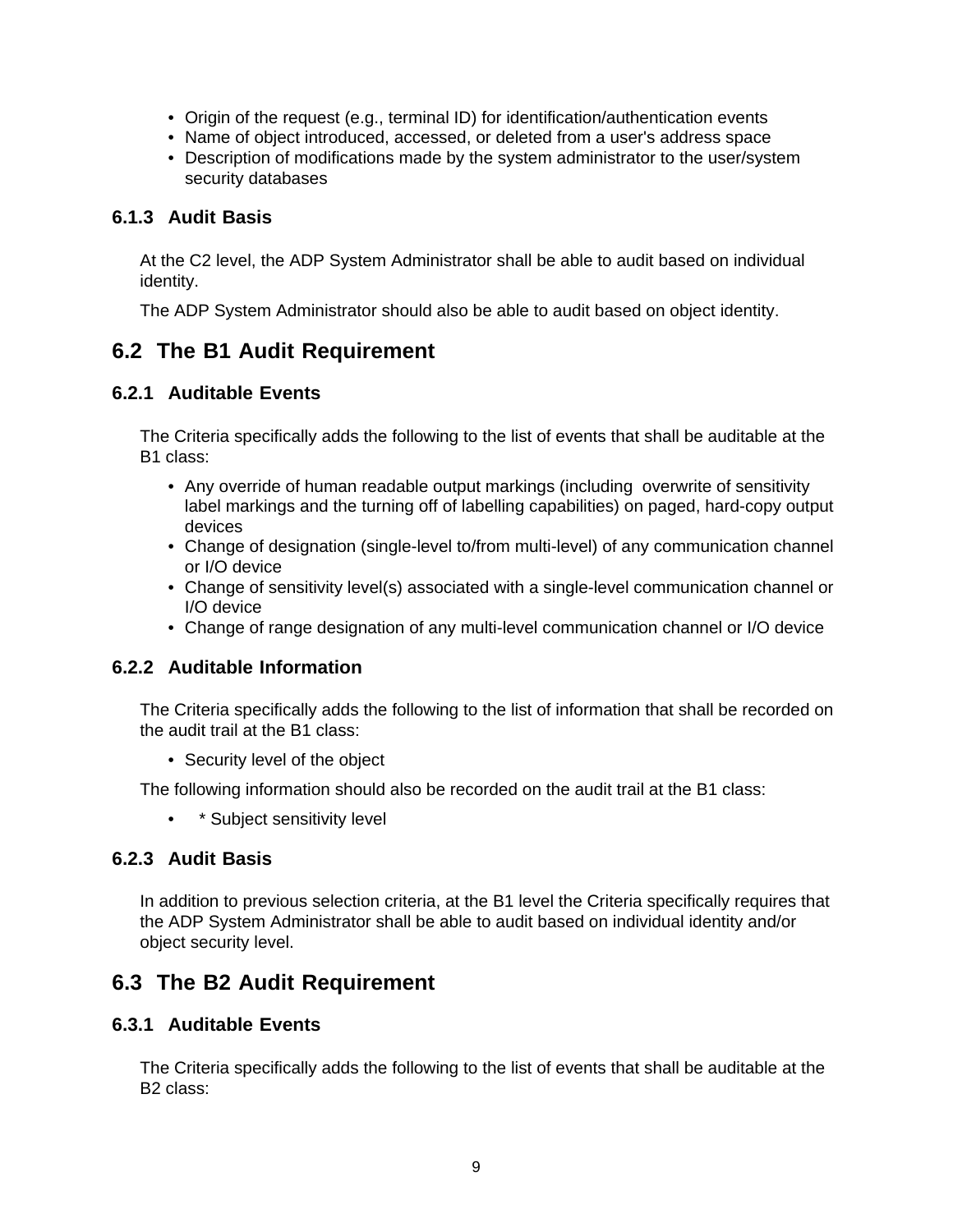- Origin of the request (e.g., terminal ID) for identification/authentication events
- Name of object introduced, accessed, or deleted from a user's address space
- Description of modifications made by the system administrator to the user/system security databases

#### **6.1.3 Audit Basis**

At the C2 level, the ADP System Administrator shall be able to audit based on individual identity.

The ADP System Administrator should also be able to audit based on object identity.

### **6.2 The B1 Audit Requirement**

#### **6.2.1 Auditable Events**

The Criteria specifically adds the following to the list of events that shall be auditable at the B1 class:

- Any override of human readable output markings (including overwrite of sensitivity label markings and the turning off of labelling capabilities) on paged, hard-copy output devices
- Change of designation (single-level to/from multi-level) of any communication channel or I/O device
- Change of sensitivity level(s) associated with a single-level communication channel or I/O device
- Change of range designation of any multi-level communication channel or I/O device

#### **6.2.2 Auditable Information**

The Criteria specifically adds the following to the list of information that shall be recorded on the audit trail at the B1 class:

• Security level of the object

The following information should also be recorded on the audit trail at the B1 class:

• \* Subject sensitivity level

#### **6.2.3 Audit Basis**

In addition to previous selection criteria, at the B1 level the Criteria specifically requires that the ADP System Administrator shall be able to audit based on individual identity and/or object security level.

### **6.3 The B2 Audit Requirement**

#### **6.3.1 Auditable Events**

The Criteria specifically adds the following to the list of events that shall be auditable at the B2 class: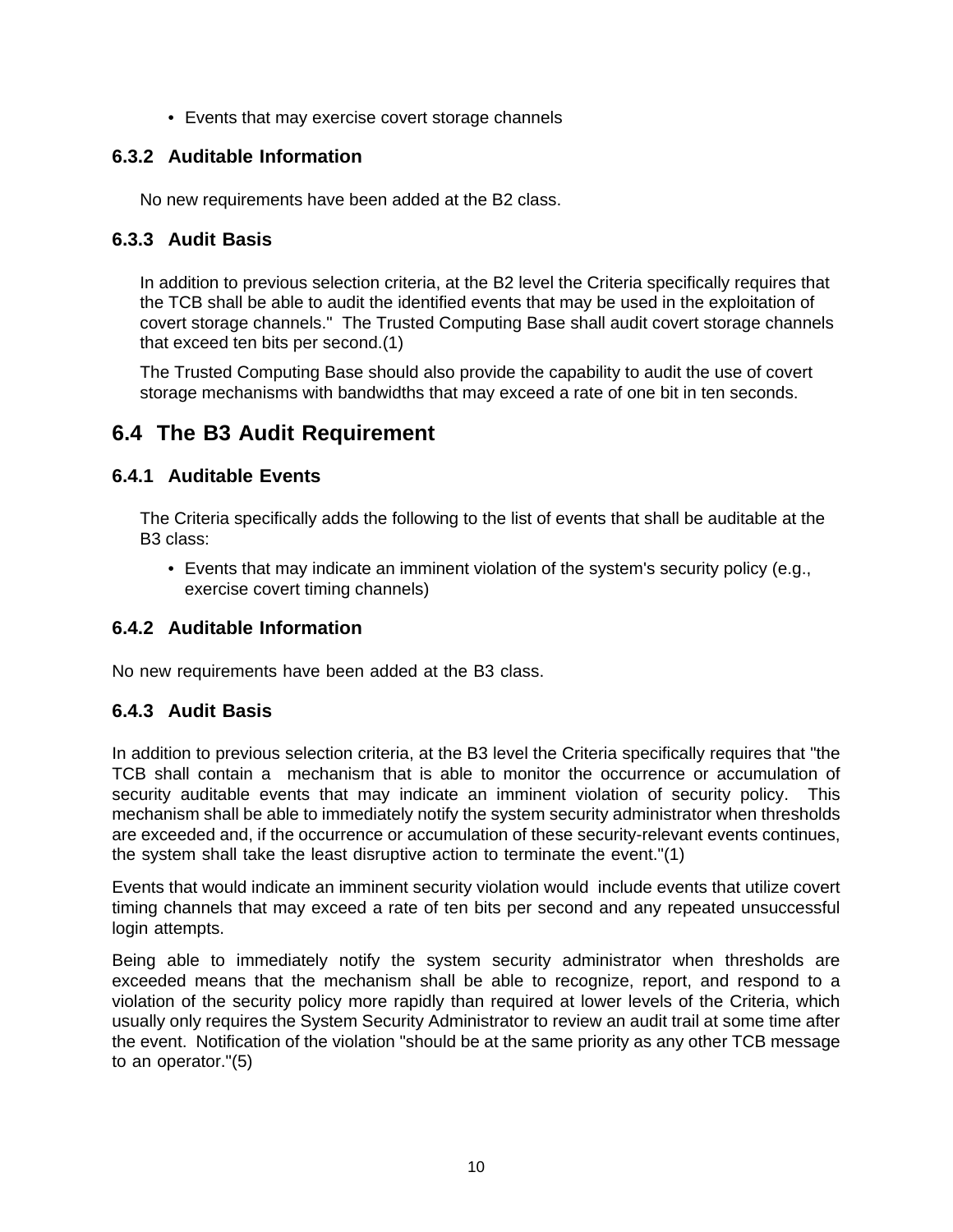• Events that may exercise covert storage channels

#### **6.3.2 Auditable Information**

No new requirements have been added at the B2 class.

#### **6.3.3 Audit Basis**

In addition to previous selection criteria, at the B2 level the Criteria specifically requires that the TCB shall be able to audit the identified events that may be used in the exploitation of covert storage channels." The Trusted Computing Base shall audit covert storage channels that exceed ten bits per second.(1)

The Trusted Computing Base should also provide the capability to audit the use of covert storage mechanisms with bandwidths that may exceed a rate of one bit in ten seconds.

### **6.4 The B3 Audit Requirement**

#### **6.4.1 Auditable Events**

The Criteria specifically adds the following to the list of events that shall be auditable at the B3 class:

• Events that may indicate an imminent violation of the system's security policy (e.g., exercise covert timing channels)

#### **6.4.2 Auditable Information**

No new requirements have been added at the B3 class.

#### **6.4.3 Audit Basis**

In addition to previous selection criteria, at the B3 level the Criteria specifically requires that "the TCB shall contain a mechanism that is able to monitor the occurrence or accumulation of security auditable events that may indicate an imminent violation of security policy. This mechanism shall be able to immediately notify the system security administrator when thresholds are exceeded and, if the occurrence or accumulation of these security-relevant events continues, the system shall take the least disruptive action to terminate the event."(1)

Events that would indicate an imminent security violation would include events that utilize covert timing channels that may exceed a rate of ten bits per second and any repeated unsuccessful login attempts.

Being able to immediately notify the system security administrator when thresholds are exceeded means that the mechanism shall be able to recognize, report, and respond to a violation of the security policy more rapidly than required at lower levels of the Criteria, which usually only requires the System Security Administrator to review an audit trail at some time after the event. Notification of the violation "should be at the same priority as any other TCB message to an operator."(5)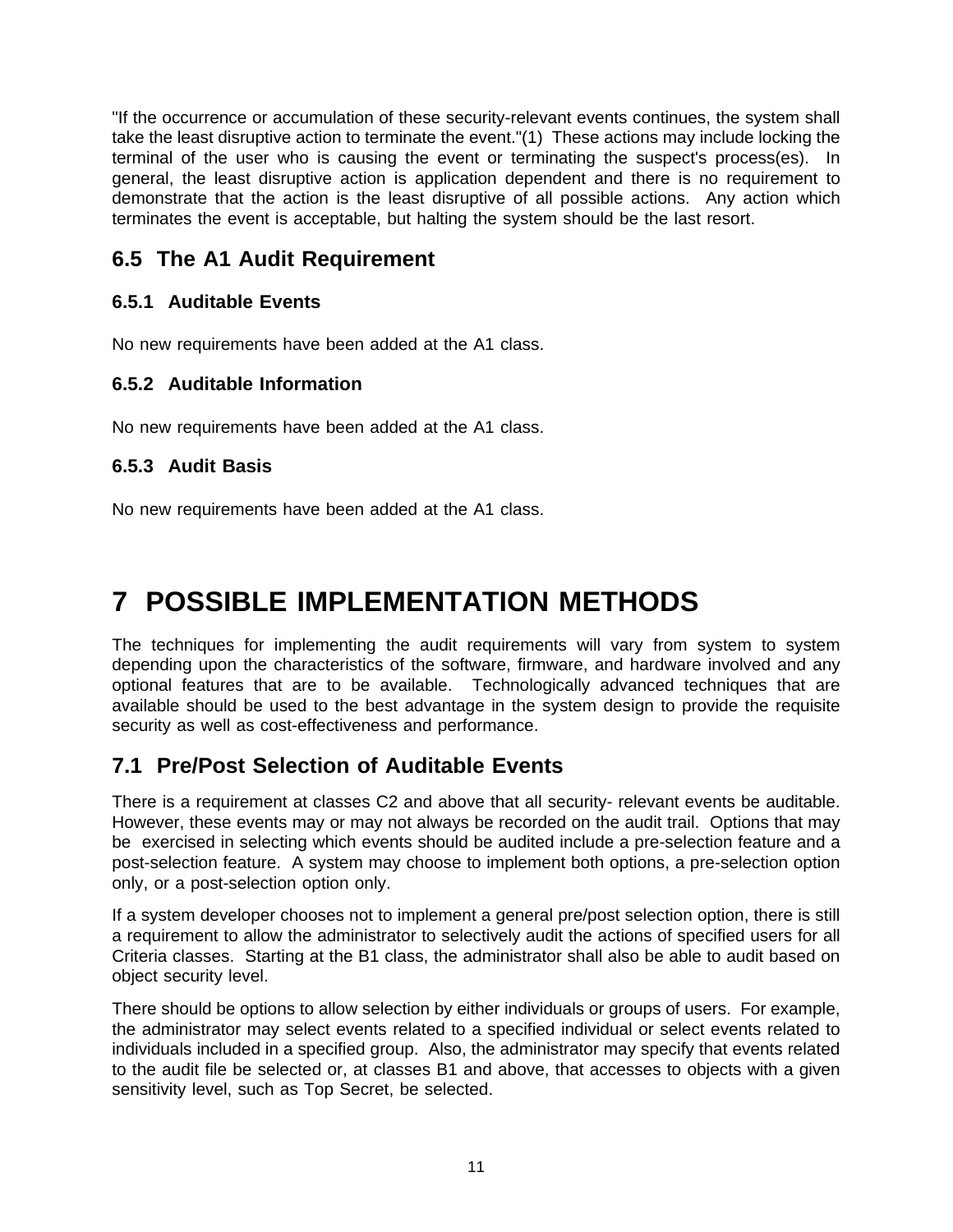"If the occurrence or accumulation of these security-relevant events continues, the system shall take the least disruptive action to terminate the event."(1) These actions may include locking the terminal of the user who is causing the event or terminating the suspect's process(es). In general, the least disruptive action is application dependent and there is no requirement to demonstrate that the action is the least disruptive of all possible actions. Any action which terminates the event is acceptable, but halting the system should be the last resort.

### **6.5 The A1 Audit Requirement**

#### **6.5.1 Auditable Events**

No new requirements have been added at the A1 class.

#### **6.5.2 Auditable Information**

No new requirements have been added at the A1 class.

#### **6.5.3 Audit Basis**

No new requirements have been added at the A1 class.

## **7 POSSIBLE IMPLEMENTATION METHODS**

The techniques for implementing the audit requirements will vary from system to system depending upon the characteristics of the software, firmware, and hardware involved and any optional features that are to be available. Technologically advanced techniques that are available should be used to the best advantage in the system design to provide the requisite security as well as cost-effectiveness and performance.

### **7.1 Pre/Post Selection of Auditable Events**

There is a requirement at classes C2 and above that all security- relevant events be auditable. However, these events may or may not always be recorded on the audit trail. Options that may be exercised in selecting which events should be audited include a pre-selection feature and a post-selection feature. A system may choose to implement both options, a pre-selection option only, or a post-selection option only.

If a system developer chooses not to implement a general pre/post selection option, there is still a requirement to allow the administrator to selectively audit the actions of specified users for all Criteria classes. Starting at the B1 class, the administrator shall also be able to audit based on object security level.

There should be options to allow selection by either individuals or groups of users. For example, the administrator may select events related to a specified individual or select events related to individuals included in a specified group. Also, the administrator may specify that events related to the audit file be selected or, at classes B1 and above, that accesses to objects with a given sensitivity level, such as Top Secret, be selected.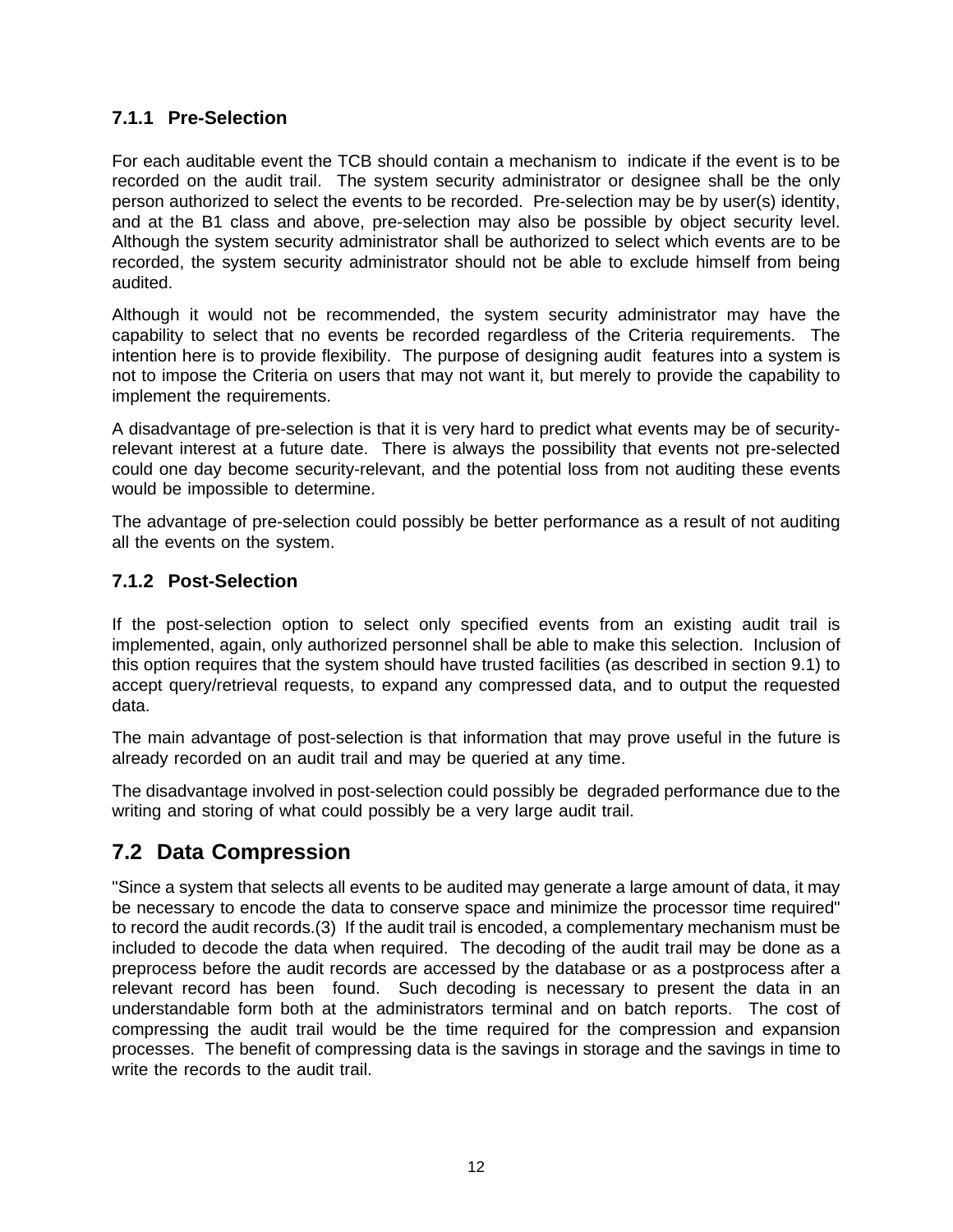#### **7.1.1 Pre-Selection**

For each auditable event the TCB should contain a mechanism to indicate if the event is to be recorded on the audit trail. The system security administrator or designee shall be the only person authorized to select the events to be recorded. Pre-selection may be by user(s) identity, and at the B1 class and above, pre-selection may also be possible by object security level. Although the system security administrator shall be authorized to select which events are to be recorded, the system security administrator should not be able to exclude himself from being audited.

Although it would not be recommended, the system security administrator may have the capability to select that no events be recorded regardless of the Criteria requirements. The intention here is to provide flexibility. The purpose of designing audit features into a system is not to impose the Criteria on users that may not want it, but merely to provide the capability to implement the requirements.

A disadvantage of pre-selection is that it is very hard to predict what events may be of securityrelevant interest at a future date. There is always the possibility that events not pre-selected could one day become security-relevant, and the potential loss from not auditing these events would be impossible to determine.

The advantage of pre-selection could possibly be better performance as a result of not auditing all the events on the system.

#### **7.1.2 Post-Selection**

If the post-selection option to select only specified events from an existing audit trail is implemented, again, only authorized personnel shall be able to make this selection. Inclusion of this option requires that the system should have trusted facilities (as described in section 9.1) to accept query/retrieval requests, to expand any compressed data, and to output the requested data.

The main advantage of post-selection is that information that may prove useful in the future is already recorded on an audit trail and may be queried at any time.

The disadvantage involved in post-selection could possibly be degraded performance due to the writing and storing of what could possibly be a very large audit trail.

## **7.2 Data Compression**

"Since a system that selects all events to be audited may generate a large amount of data, it may be necessary to encode the data to conserve space and minimize the processor time required" to record the audit records.(3) If the audit trail is encoded, a complementary mechanism must be included to decode the data when required. The decoding of the audit trail may be done as a preprocess before the audit records are accessed by the database or as a postprocess after a relevant record has been found. Such decoding is necessary to present the data in an understandable form both at the administrators terminal and on batch reports. The cost of compressing the audit trail would be the time required for the compression and expansion processes. The benefit of compressing data is the savings in storage and the savings in time to write the records to the audit trail.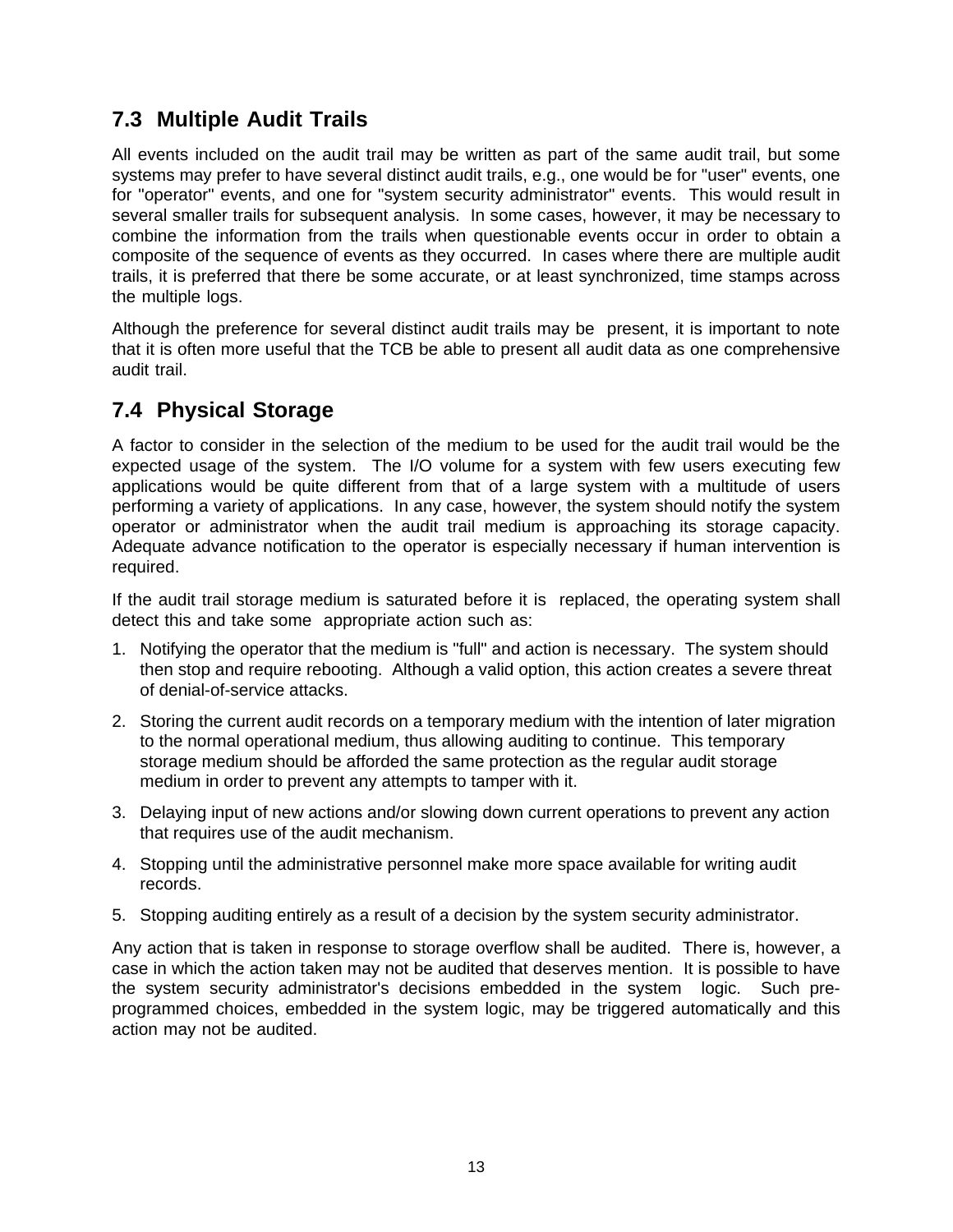## **7.3 Multiple Audit Trails**

All events included on the audit trail may be written as part of the same audit trail, but some systems may prefer to have several distinct audit trails, e.g., one would be for "user" events, one for "operator" events, and one for "system security administrator" events. This would result in several smaller trails for subsequent analysis. In some cases, however, it may be necessary to combine the information from the trails when questionable events occur in order to obtain a composite of the sequence of events as they occurred. In cases where there are multiple audit trails, it is preferred that there be some accurate, or at least synchronized, time stamps across the multiple logs.

Although the preference for several distinct audit trails may be present, it is important to note that it is often more useful that the TCB be able to present all audit data as one comprehensive audit trail.

### **7.4 Physical Storage**

A factor to consider in the selection of the medium to be used for the audit trail would be the expected usage of the system. The I/O volume for a system with few users executing few applications would be quite different from that of a large system with a multitude of users performing a variety of applications. In any case, however, the system should notify the system operator or administrator when the audit trail medium is approaching its storage capacity. Adequate advance notification to the operator is especially necessary if human intervention is required.

If the audit trail storage medium is saturated before it is replaced, the operating system shall detect this and take some appropriate action such as:

- 1. Notifying the operator that the medium is "full" and action is necessary. The system should then stop and require rebooting. Although a valid option, this action creates a severe threat of denial-of-service attacks.
- 2. Storing the current audit records on a temporary medium with the intention of later migration to the normal operational medium, thus allowing auditing to continue. This temporary storage medium should be afforded the same protection as the regular audit storage medium in order to prevent any attempts to tamper with it.
- 3. Delaying input of new actions and/or slowing down current operations to prevent any action that requires use of the audit mechanism.
- 4. Stopping until the administrative personnel make more space available for writing audit records.
- 5. Stopping auditing entirely as a result of a decision by the system security administrator.

Any action that is taken in response to storage overflow shall be audited. There is, however, a case in which the action taken may not be audited that deserves mention. It is possible to have the system security administrator's decisions embedded in the system logic. Such preprogrammed choices, embedded in the system logic, may be triggered automatically and this action may not be audited.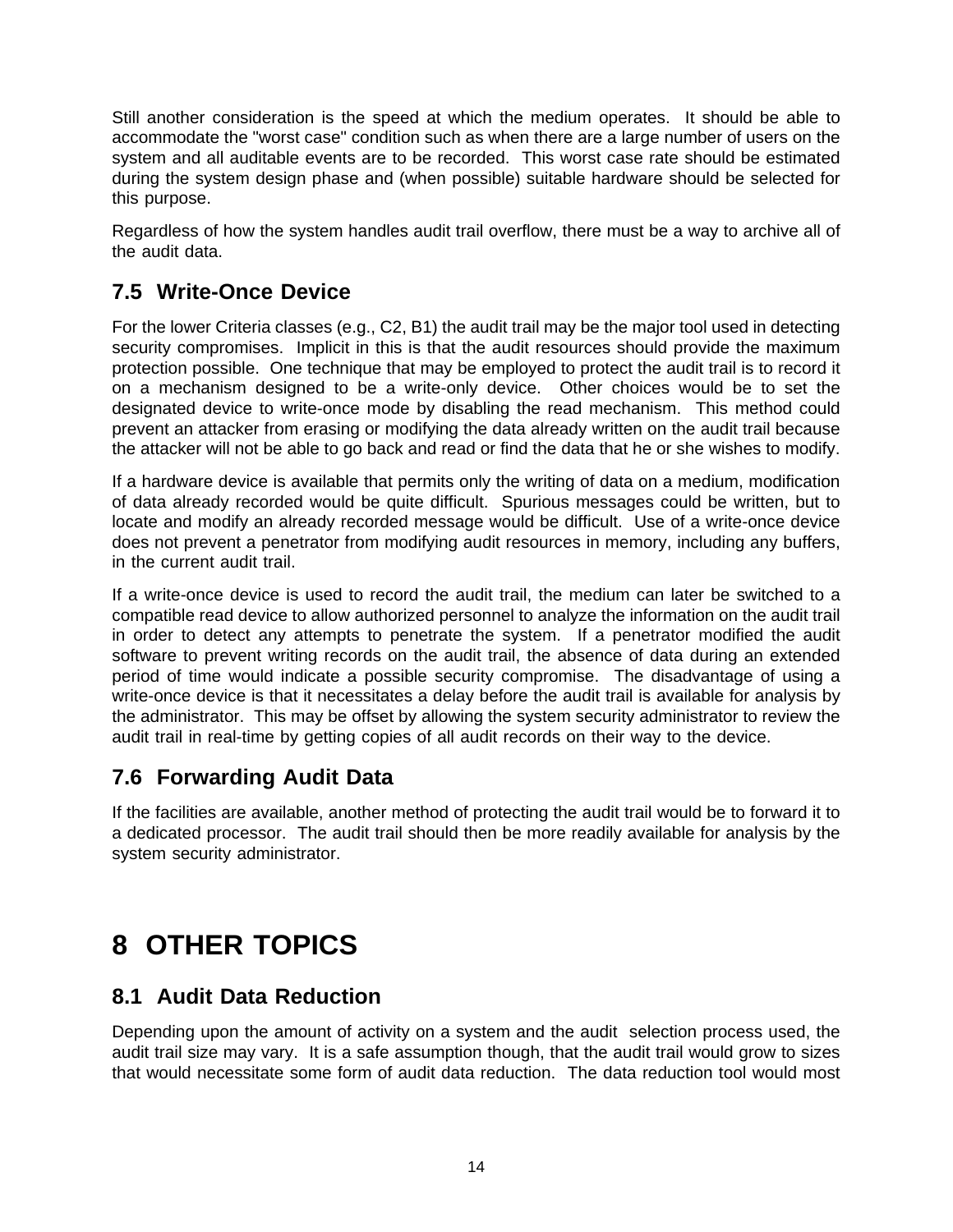Still another consideration is the speed at which the medium operates. It should be able to accommodate the "worst case" condition such as when there are a large number of users on the system and all auditable events are to be recorded. This worst case rate should be estimated during the system design phase and (when possible) suitable hardware should be selected for this purpose.

Regardless of how the system handles audit trail overflow, there must be a way to archive all of the audit data.

## **7.5 Write-Once Device**

For the lower Criteria classes (e.g., C2, B1) the audit trail may be the major tool used in detecting security compromises. Implicit in this is that the audit resources should provide the maximum protection possible. One technique that may be employed to protect the audit trail is to record it on a mechanism designed to be a write-only device. Other choices would be to set the designated device to write-once mode by disabling the read mechanism. This method could prevent an attacker from erasing or modifying the data already written on the audit trail because the attacker will not be able to go back and read or find the data that he or she wishes to modify.

If a hardware device is available that permits only the writing of data on a medium, modification of data already recorded would be quite difficult. Spurious messages could be written, but to locate and modify an already recorded message would be difficult. Use of a write-once device does not prevent a penetrator from modifying audit resources in memory, including any buffers, in the current audit trail.

If a write-once device is used to record the audit trail, the medium can later be switched to a compatible read device to allow authorized personnel to analyze the information on the audit trail in order to detect any attempts to penetrate the system. If a penetrator modified the audit software to prevent writing records on the audit trail, the absence of data during an extended period of time would indicate a possible security compromise. The disadvantage of using a write-once device is that it necessitates a delay before the audit trail is available for analysis by the administrator. This may be offset by allowing the system security administrator to review the audit trail in real-time by getting copies of all audit records on their way to the device.

### **7.6 Forwarding Audit Data**

If the facilities are available, another method of protecting the audit trail would be to forward it to a dedicated processor. The audit trail should then be more readily available for analysis by the system security administrator.

## **8 OTHER TOPICS**

### **8.1 Audit Data Reduction**

Depending upon the amount of activity on a system and the audit selection process used, the audit trail size may vary. It is a safe assumption though, that the audit trail would grow to sizes that would necessitate some form of audit data reduction. The data reduction tool would most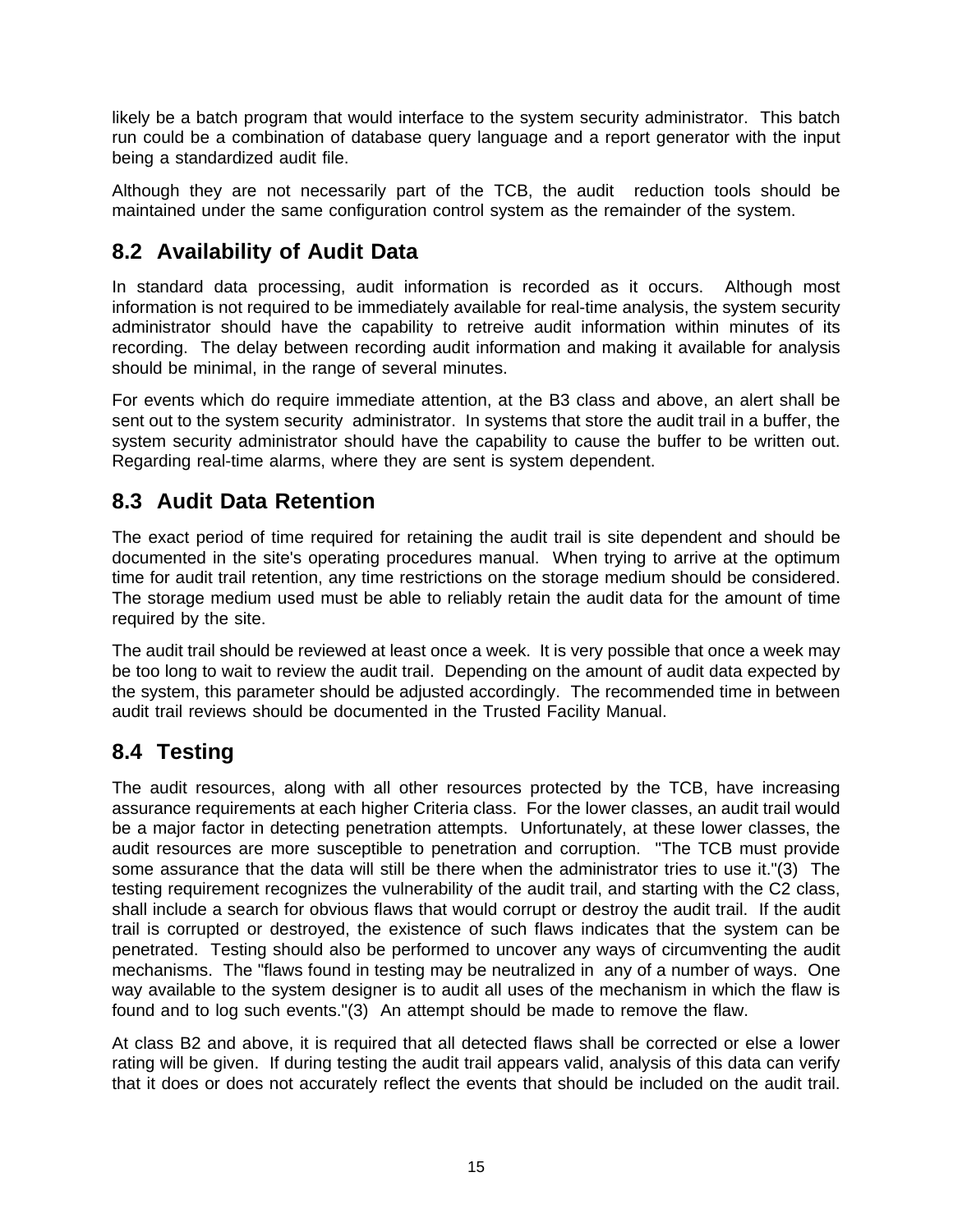likely be a batch program that would interface to the system security administrator. This batch run could be a combination of database query language and a report generator with the input being a standardized audit file.

Although they are not necessarily part of the TCB, the audit reduction tools should be maintained under the same configuration control system as the remainder of the system.

## **8.2 Availability of Audit Data**

In standard data processing, audit information is recorded as it occurs. Although most information is not required to be immediately available for real-time analysis, the system security administrator should have the capability to retreive audit information within minutes of its recording. The delay between recording audit information and making it available for analysis should be minimal, in the range of several minutes.

For events which do require immediate attention, at the B3 class and above, an alert shall be sent out to the system security administrator. In systems that store the audit trail in a buffer, the system security administrator should have the capability to cause the buffer to be written out. Regarding real-time alarms, where they are sent is system dependent.

### **8.3 Audit Data Retention**

The exact period of time required for retaining the audit trail is site dependent and should be documented in the site's operating procedures manual. When trying to arrive at the optimum time for audit trail retention, any time restrictions on the storage medium should be considered. The storage medium used must be able to reliably retain the audit data for the amount of time required by the site.

The audit trail should be reviewed at least once a week. It is very possible that once a week may be too long to wait to review the audit trail. Depending on the amount of audit data expected by the system, this parameter should be adjusted accordingly. The recommended time in between audit trail reviews should be documented in the Trusted Facility Manual.

## **8.4 Testing**

The audit resources, along with all other resources protected by the TCB, have increasing assurance requirements at each higher Criteria class. For the lower classes, an audit trail would be a major factor in detecting penetration attempts. Unfortunately, at these lower classes, the audit resources are more susceptible to penetration and corruption. "The TCB must provide some assurance that the data will still be there when the administrator tries to use it."(3) The testing requirement recognizes the vulnerability of the audit trail, and starting with the C2 class, shall include a search for obvious flaws that would corrupt or destroy the audit trail. If the audit trail is corrupted or destroyed, the existence of such flaws indicates that the system can be penetrated. Testing should also be performed to uncover any ways of circumventing the audit mechanisms. The "flaws found in testing may be neutralized in any of a number of ways. One way available to the system designer is to audit all uses of the mechanism in which the flaw is found and to log such events."(3) An attempt should be made to remove the flaw.

At class B2 and above, it is required that all detected flaws shall be corrected or else a lower rating will be given. If during testing the audit trail appears valid, analysis of this data can verify that it does or does not accurately reflect the events that should be included on the audit trail.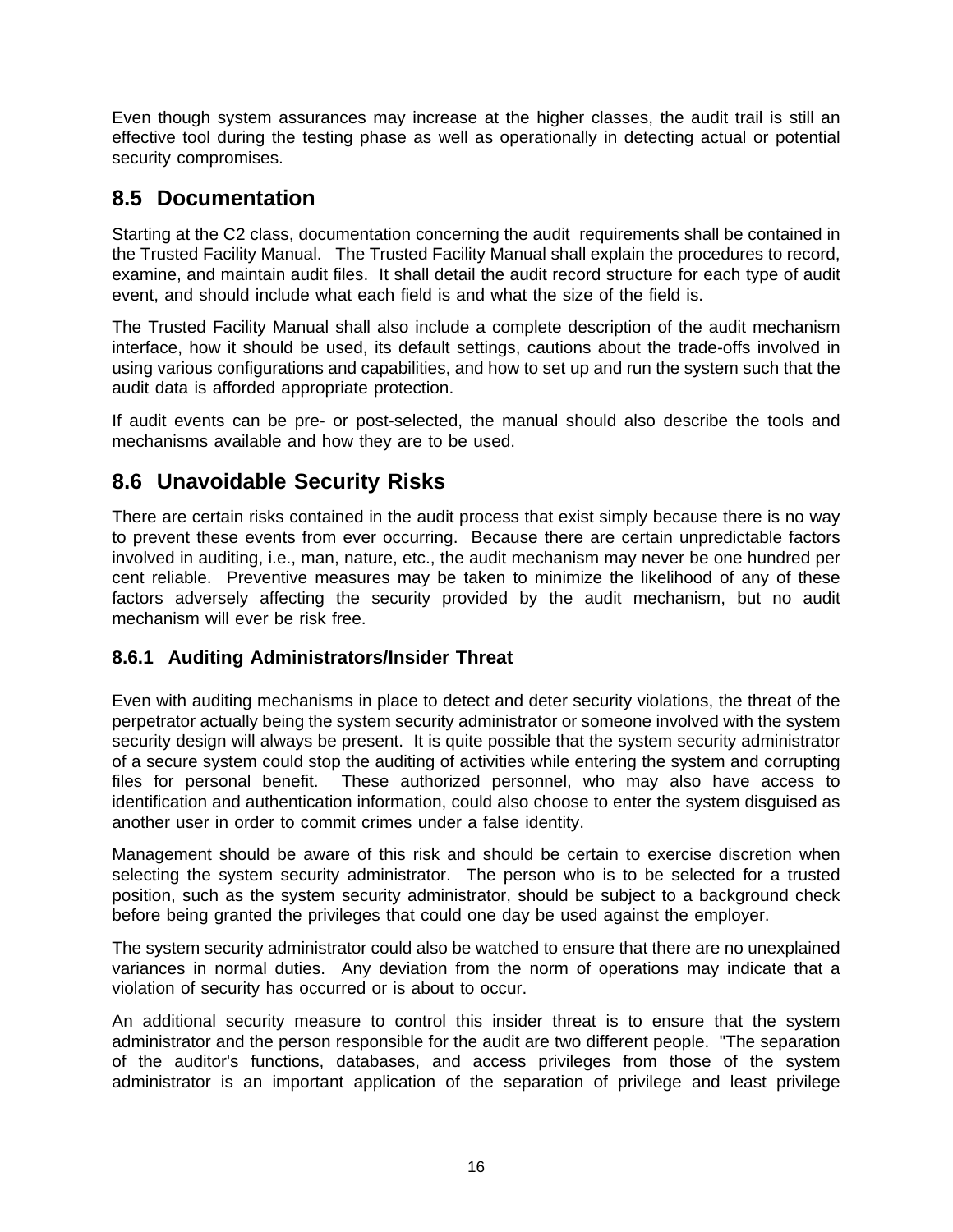Even though system assurances may increase at the higher classes, the audit trail is still an effective tool during the testing phase as well as operationally in detecting actual or potential security compromises.

### **8.5 Documentation**

Starting at the C2 class, documentation concerning the audit requirements shall be contained in the Trusted Facility Manual. The Trusted Facility Manual shall explain the procedures to record, examine, and maintain audit files. It shall detail the audit record structure for each type of audit event, and should include what each field is and what the size of the field is.

The Trusted Facility Manual shall also include a complete description of the audit mechanism interface, how it should be used, its default settings, cautions about the trade-offs involved in using various configurations and capabilities, and how to set up and run the system such that the audit data is afforded appropriate protection.

If audit events can be pre- or post-selected, the manual should also describe the tools and mechanisms available and how they are to be used.

## **8.6 Unavoidable Security Risks**

There are certain risks contained in the audit process that exist simply because there is no way to prevent these events from ever occurring. Because there are certain unpredictable factors involved in auditing, i.e., man, nature, etc., the audit mechanism may never be one hundred per cent reliable. Preventive measures may be taken to minimize the likelihood of any of these factors adversely affecting the security provided by the audit mechanism, but no audit mechanism will ever be risk free.

#### **8.6.1 Auditing Administrators/Insider Threat**

Even with auditing mechanisms in place to detect and deter security violations, the threat of the perpetrator actually being the system security administrator or someone involved with the system security design will always be present. It is quite possible that the system security administrator of a secure system could stop the auditing of activities while entering the system and corrupting files for personal benefit. These authorized personnel, who may also have access to identification and authentication information, could also choose to enter the system disguised as another user in order to commit crimes under a false identity.

Management should be aware of this risk and should be certain to exercise discretion when selecting the system security administrator. The person who is to be selected for a trusted position, such as the system security administrator, should be subject to a background check before being granted the privileges that could one day be used against the employer.

The system security administrator could also be watched to ensure that there are no unexplained variances in normal duties. Any deviation from the norm of operations may indicate that a violation of security has occurred or is about to occur.

An additional security measure to control this insider threat is to ensure that the system administrator and the person responsible for the audit are two different people. "The separation of the auditor's functions, databases, and access privileges from those of the system administrator is an important application of the separation of privilege and least privilege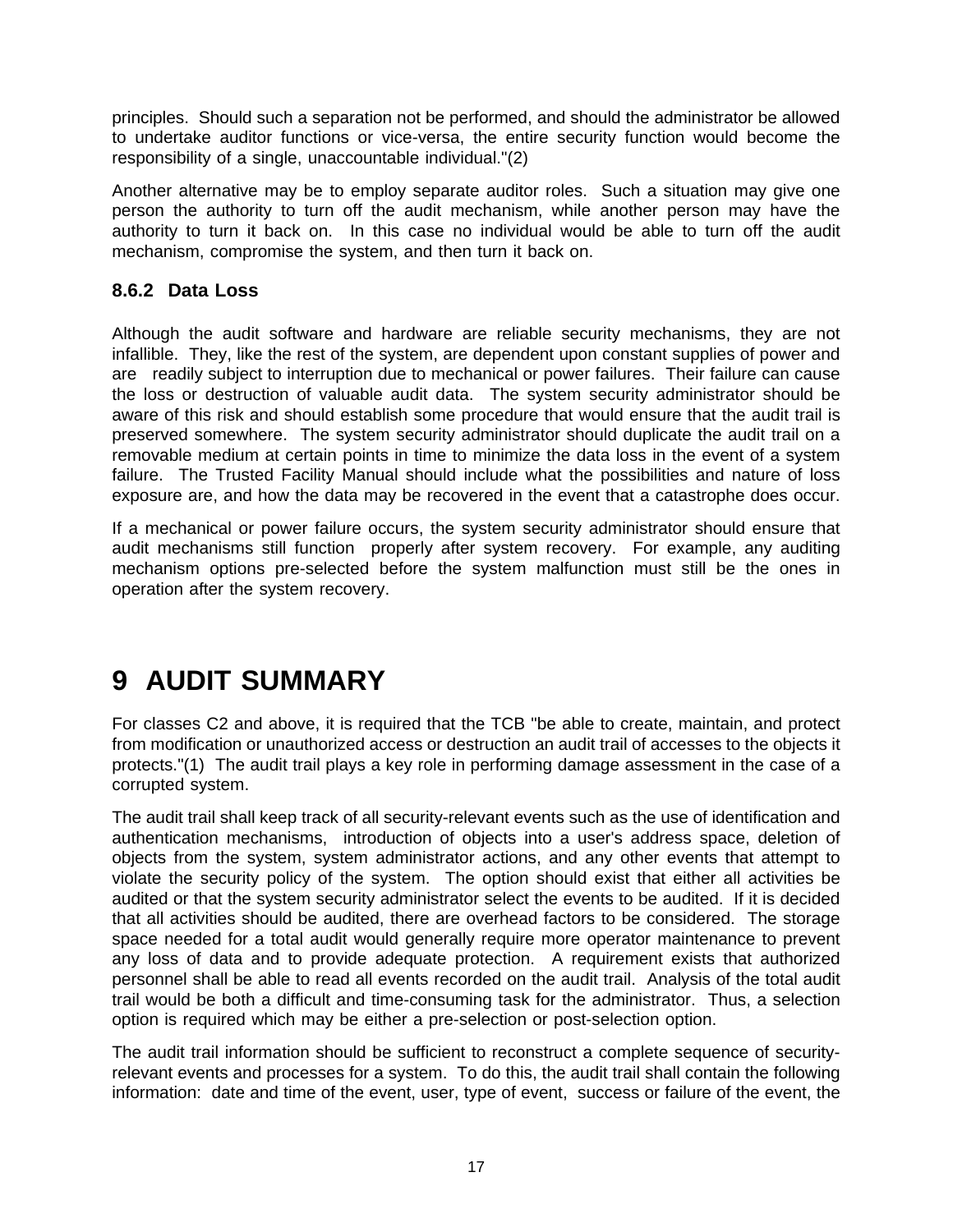principles. Should such a separation not be performed, and should the administrator be allowed to undertake auditor functions or vice-versa, the entire security function would become the responsibility of a single, unaccountable individual."(2)

Another alternative may be to employ separate auditor roles. Such a situation may give one person the authority to turn off the audit mechanism, while another person may have the authority to turn it back on. In this case no individual would be able to turn off the audit mechanism, compromise the system, and then turn it back on.

#### **8.6.2 Data Loss**

Although the audit software and hardware are reliable security mechanisms, they are not infallible. They, like the rest of the system, are dependent upon constant supplies of power and are readily subject to interruption due to mechanical or power failures. Their failure can cause the loss or destruction of valuable audit data. The system security administrator should be aware of this risk and should establish some procedure that would ensure that the audit trail is preserved somewhere. The system security administrator should duplicate the audit trail on a removable medium at certain points in time to minimize the data loss in the event of a system failure. The Trusted Facility Manual should include what the possibilities and nature of loss exposure are, and how the data may be recovered in the event that a catastrophe does occur.

If a mechanical or power failure occurs, the system security administrator should ensure that audit mechanisms still function properly after system recovery. For example, any auditing mechanism options pre-selected before the system malfunction must still be the ones in operation after the system recovery.

## **9 AUDIT SUMMARY**

For classes C2 and above, it is required that the TCB "be able to create, maintain, and protect from modification or unauthorized access or destruction an audit trail of accesses to the objects it protects."(1) The audit trail plays a key role in performing damage assessment in the case of a corrupted system.

The audit trail shall keep track of all security-relevant events such as the use of identification and authentication mechanisms, introduction of objects into a user's address space, deletion of objects from the system, system administrator actions, and any other events that attempt to violate the security policy of the system. The option should exist that either all activities be audited or that the system security administrator select the events to be audited. If it is decided that all activities should be audited, there are overhead factors to be considered. The storage space needed for a total audit would generally require more operator maintenance to prevent any loss of data and to provide adequate protection. A requirement exists that authorized personnel shall be able to read all events recorded on the audit trail. Analysis of the total audit trail would be both a difficult and time-consuming task for the administrator. Thus, a selection option is required which may be either a pre-selection or post-selection option.

The audit trail information should be sufficient to reconstruct a complete sequence of securityrelevant events and processes for a system. To do this, the audit trail shall contain the following information: date and time of the event, user, type of event, success or failure of the event, the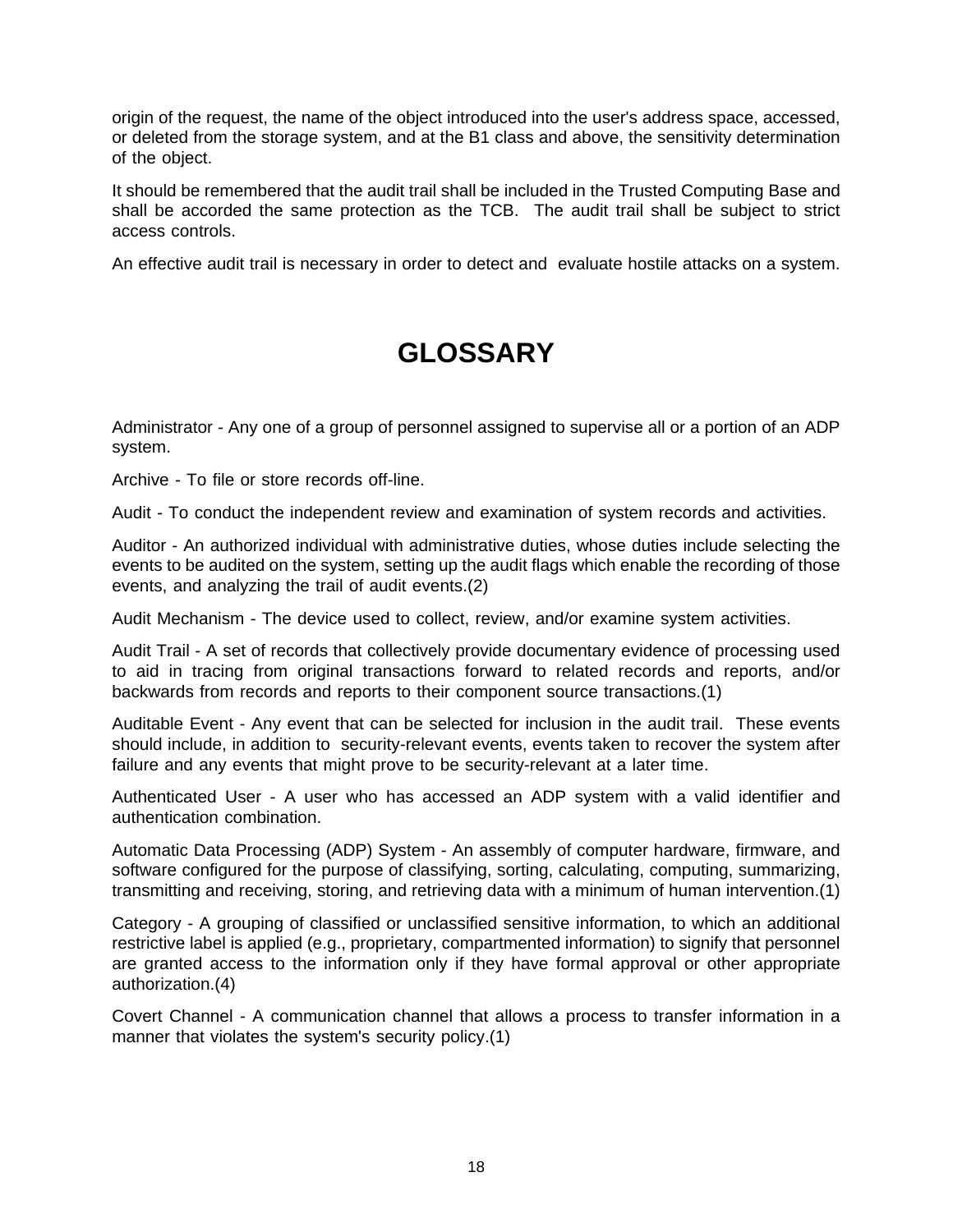origin of the request, the name of the object introduced into the user's address space, accessed, or deleted from the storage system, and at the B1 class and above, the sensitivity determination of the object.

It should be remembered that the audit trail shall be included in the Trusted Computing Base and shall be accorded the same protection as the TCB. The audit trail shall be subject to strict access controls.

An effective audit trail is necessary in order to detect and evaluate hostile attacks on a system.

## **GLOSSARY**

Administrator - Any one of a group of personnel assigned to supervise all or a portion of an ADP system.

Archive - To file or store records off-line.

Audit - To conduct the independent review and examination of system records and activities.

Auditor - An authorized individual with administrative duties, whose duties include selecting the events to be audited on the system, setting up the audit flags which enable the recording of those events, and analyzing the trail of audit events.(2)

Audit Mechanism - The device used to collect, review, and/or examine system activities.

Audit Trail - A set of records that collectively provide documentary evidence of processing used to aid in tracing from original transactions forward to related records and reports, and/or backwards from records and reports to their component source transactions.(1)

Auditable Event - Any event that can be selected for inclusion in the audit trail. These events should include, in addition to security-relevant events, events taken to recover the system after failure and any events that might prove to be security-relevant at a later time.

Authenticated User - A user who has accessed an ADP system with a valid identifier and authentication combination.

Automatic Data Processing (ADP) System - An assembly of computer hardware, firmware, and software configured for the purpose of classifying, sorting, calculating, computing, summarizing, transmitting and receiving, storing, and retrieving data with a minimum of human intervention.(1)

Category - A grouping of classified or unclassified sensitive information, to which an additional restrictive label is applied (e.g., proprietary, compartmented information) to signify that personnel are granted access to the information only if they have formal approval or other appropriate authorization.(4)

Covert Channel - A communication channel that allows a process to transfer information in a manner that violates the system's security policy.(1)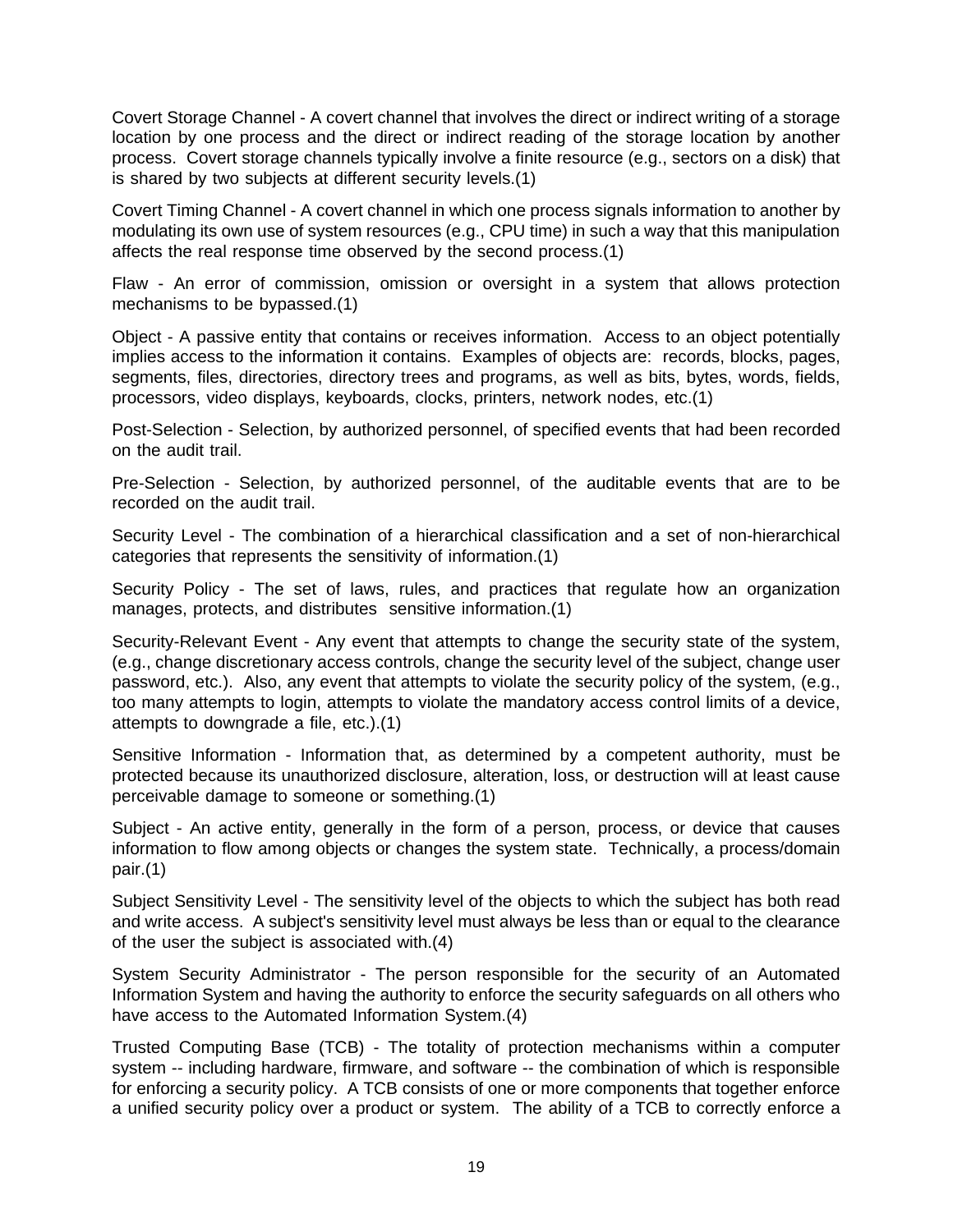Covert Storage Channel - A covert channel that involves the direct or indirect writing of a storage location by one process and the direct or indirect reading of the storage location by another process. Covert storage channels typically involve a finite resource (e.g., sectors on a disk) that is shared by two subjects at different security levels.(1)

Covert Timing Channel - A covert channel in which one process signals information to another by modulating its own use of system resources (e.g., CPU time) in such a way that this manipulation affects the real response time observed by the second process.(1)

Flaw - An error of commission, omission or oversight in a system that allows protection mechanisms to be bypassed.(1)

Object - A passive entity that contains or receives information. Access to an object potentially implies access to the information it contains. Examples of objects are: records, blocks, pages, segments, files, directories, directory trees and programs, as well as bits, bytes, words, fields, processors, video displays, keyboards, clocks, printers, network nodes, etc.(1)

Post-Selection - Selection, by authorized personnel, of specified events that had been recorded on the audit trail.

Pre-Selection - Selection, by authorized personnel, of the auditable events that are to be recorded on the audit trail.

Security Level - The combination of a hierarchical classification and a set of non-hierarchical categories that represents the sensitivity of information.(1)

Security Policy - The set of laws, rules, and practices that regulate how an organization manages, protects, and distributes sensitive information.(1)

Security-Relevant Event - Any event that attempts to change the security state of the system, (e.g., change discretionary access controls, change the security level of the subject, change user password, etc.). Also, any event that attempts to violate the security policy of the system, (e.g., too many attempts to login, attempts to violate the mandatory access control limits of a device, attempts to downgrade a file, etc.).(1)

Sensitive Information - Information that, as determined by a competent authority, must be protected because its unauthorized disclosure, alteration, loss, or destruction will at least cause perceivable damage to someone or something.(1)

Subject - An active entity, generally in the form of a person, process, or device that causes information to flow among objects or changes the system state. Technically, a process/domain pair.(1)

Subject Sensitivity Level - The sensitivity level of the objects to which the subject has both read and write access. A subject's sensitivity level must always be less than or equal to the clearance of the user the subject is associated with.(4)

System Security Administrator - The person responsible for the security of an Automated Information System and having the authority to enforce the security safeguards on all others who have access to the Automated Information System.(4)

Trusted Computing Base (TCB) - The totality of protection mechanisms within a computer system -- including hardware, firmware, and software -- the combination of which is responsible for enforcing a security policy. A TCB consists of one or more components that together enforce a unified security policy over a product or system. The ability of a TCB to correctly enforce a